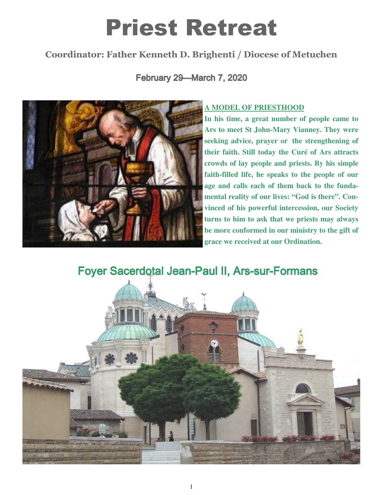# Priest Retreat

## Coordinator: Father Kenneth D. Brighenti / Diocese of Metuchen

February 29—March 7, 2020



#### **A MODEL OF PRIESTHOOD**

**In his time, a great number of people came to Ars to meet St John-Mary Vianney. They were seeking advice, prayer or the strengthening of their faith. Still today the Curé of Ars attracts crowds of lay people and priests. By his simple faith-filled life, he speaks to the people of our age and calls each of them back to the fundamental reality of our lives: "God is there". Convinced of his powerful intercession, our Society turns to him to ask that we priests may always be more conformed in our ministry to the gift of grace we received at our Ordination.** 

Foyer Sacerdotal Jean-Paul II, Ars-sur-Formans

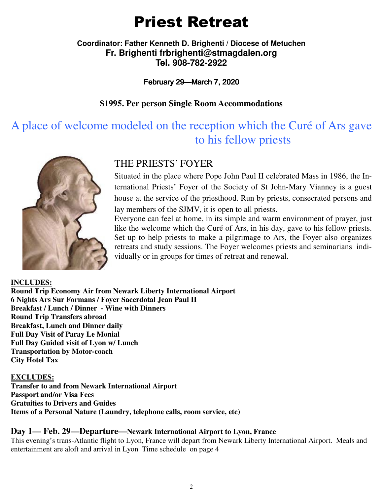# Priest Retreat

#### **Coordinator: Father Kenneth D. Brighenti / Diocese of Metuchen Fr. Brighenti frbrighenti@stmagdalen.org Tel. 908-782-2922**

#### February 29—March 7, 2020

#### **\$1995. Per person Single Room Accommodations**

# A place of welcome modeled on the reception which the Curé of Ars gave to his fellow priests



### THE PRIESTS' FOYER

Situated in the place where Pope John Paul II celebrated Mass in 1986, the International Priests' Foyer of the Society of St John-Mary Vianney is a guest house at the service of the priesthood. Run by priests, consecrated persons and lay members of the SJMV, it is open to all priests.

Everyone can feel at home, in its simple and warm environment of prayer, just like the welcome which the Curé of Ars, in his day, gave to his fellow priests. Set up to help priests to make a pilgrimage to Ars, the Foyer also organizes retreats and study sessions. The Foyer welcomes priests and seminarians individually or in groups for times of retreat and renewal.

**INCLUDES: Round Trip Economy Air from Newark Liberty International Airport 6 Nights Ars Sur Formans / Foyer Sacerdotal Jean Paul II Breakfast / Lunch / Dinner - Wine with Dinners Round Trip Transfers abroad Breakfast, Lunch and Dinner daily Full Day Visit of Paray Le Monial Full Day Guided visit of Lyon w/ Lunch Transportation by Motor-coach City Hotel Tax** 

#### **EXCLUDES:**

**Transfer to and from Newark International Airport Passport and/or Visa Fees Gratuities to Drivers and Guides Items of a Personal Nature (Laundry, telephone calls, room service, etc)** 

#### **Day 1— Feb. 29—Departure—Newark International Airport to Lyon, France**

This evening's trans-Atlantic flight to Lyon, France will depart from Newark Liberty International Airport. Meals and entertainment are aloft and arrival in Lyon Time schedule on page 4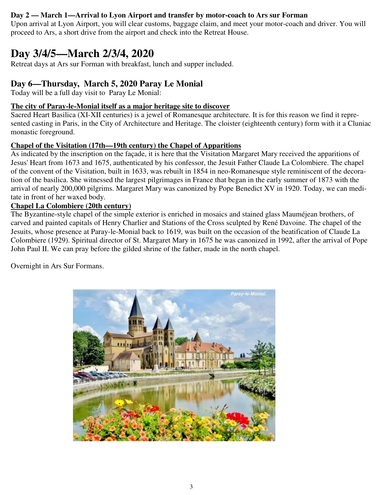#### **Day 2 — March 1—Arrival to Lyon Airport and transfer by motor-coach to Ars sur Forman**

Upon arrival at Lyon Airport, you will clear customs, baggage claim, and meet your motor-coach and driver. You will proceed to Ars, a short drive from the airport and check into the Retreat House.

# **Day 3/4/5—March 2/3/4, 2020**

Retreat days at Ars sur Forman with breakfast, lunch and supper included.

#### **Day 6—Thursday, March 5, 2020 Paray Le Monial**

Today will be a full day visit to Paray Le Monial:

#### **The city of Paray-le-Monial itself as a major heritage site to discover**

Sacred Heart Basilica (XI-XII centuries) is a jewel of Romanesque architecture. It is for this reason we find it represented casting in Paris, in the City of Architecture and Heritage. The cloister (eighteenth century) form with it a Cluniac monastic foreground.

#### **Chapel of the Visitation (17th—19th century) the Chapel of Apparitions**

As indicated by the inscription on the façade, it is here that the Visitation Margaret Mary received the apparitions of Jesus' Heart from 1673 and 1675, authenticated by his confessor, the Jesuit Father Claude La Colombiere. The chapel of the convent of the Visitation, built in 1633, was rebuilt in 1854 in neo-Romanesque style reminiscent of the decoration of the basilica. She witnessed the largest pilgrimages in France that began in the early summer of 1873 with the arrival of nearly 200,000 pilgrims. Margaret Mary was canonized by Pope Benedict XV in 1920. Today, we can meditate in front of her waxed body.

#### **Chapel La Colombiere (20th century)**

The Byzantine-style chapel of the simple exterior is enriched in mosaics and stained glass Mauméjean brothers, of carved and painted capitals of Henry Charlier and Stations of the Cross sculpted by René Davoine. The chapel of the Jesuits, whose presence at Paray-le-Monial back to 1619, was built on the occasion of the beatification of Claude La Colombiere (1929). Spiritual director of St. Margaret Mary in 1675 he was canonized in 1992, after the arrival of Pope John Paul II. We can pray before the gilded shrine of the father, made in the north chapel.

Overnight in Ars Sur Formans.

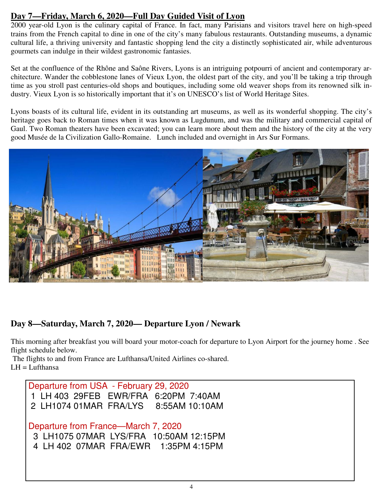#### **Day 7—Friday, March 6, 2020—Full Day Guided Visit of Lyon**

2000 year-old Lyon is the culinary capital of France. In fact, many Parisians and visitors travel here on high-speed trains from the French capital to dine in one of the city's many fabulous restaurants. Outstanding museums, a dynamic cultural life, a thriving university and fantastic shopping lend the city a distinctly sophisticated air, while adventurous gourmets can indulge in their wildest gastronomic fantasies.

Set at the confluence of the Rhône and Saône Rivers, Lyons is an intriguing potpourri of ancient and contemporary architecture. Wander the cobblestone lanes of Vieux Lyon, the oldest part of the city, and you'll be taking a trip through time as you stroll past centuries-old shops and boutiques, including some old weaver shops from its renowned silk industry. Vieux Lyon is so historically important that it's on UNESCO's list of World Heritage Sites.

Lyons boasts of its cultural life, evident in its outstanding art museums, as well as its wonderful shopping. The city's heritage goes back to Roman times when it was known as Lugdunum, and was the military and commercial capital of Gaul. Two Roman theaters have been excavated; you can learn more about them and the history of the city at the very good Musée de la Civilization Gallo-Romaine. Lunch included and overnight in Ars Sur Formans.



#### **Day 8—Saturday, March 7, 2020— Departure Lyon / Newark**

This morning after breakfast you will board your motor-coach for departure to Lyon Airport for the journey home . See flight schedule below.

 The flights to and from France are Lufthansa/United Airlines co-shared.  $LH = Lufthansa$ 

Departure from USA - February 29, 2020 1 LH 403 29FEB EWR/FRA 6:20PM 7:40AM 2 LH1074 01MAR FRA/LYS 8:55AM 10:10AM Departure from France—March 7, 2020 3 LH1075 07MAR LYS/FRA 10:50AM 12:15PM 4 LH 402 07MAR FRA/EWR 1:35PM 4:15PM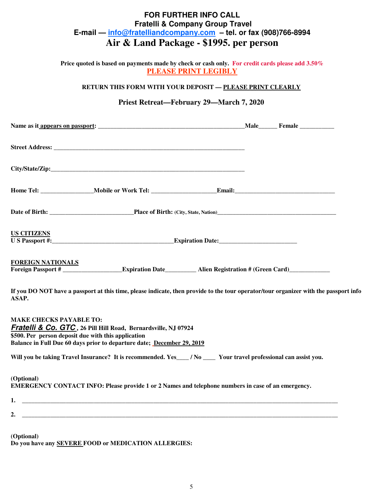#### **FOR FURTHER INFO CALL Fratelli & Company Group Travel E-mail — info@fratelliandcompany.com – tel. or fax (908)766-8994 Air & Land Package - \$1995. per person**

**Price quoted is based on payments made by check or cash only. For credit cards please add 3.50% PLEASE PRINT LEGIBLY** 

**RETURN THIS FORM WITH YOUR DEPOSIT — PLEASE PRINT CLEARLY**

#### **Priest Retreat—February 29—March 7, 2020**

| <b>US CITIZENS</b>       |  |  |  |  |  |  |  |
|--------------------------|--|--|--|--|--|--|--|
| <b>FOREIGN NATIONALS</b> |  |  |  |  |  |  |  |

**If you DO NOT have a passport at this time, please indicate, then provide to the tour operator/tour organizer with the passport info ASAP.**

**MAKE CHECKS PAYABLE TO: Fratelli & Co. GTC , 26 Pill Hill Road, Bernardsville, NJ 07924 \$500. Per person deposit due with this application Balance in Full Due 60 days prior to departure date; December 29, 2019**

Will you be taking Travel Insurance? It is recommended. Yes\_\_\_\_ / No \_\_\_\_ Your travel professional can assist you.

#### **(Optional) EMERGENCY CONTACT INFO: Please provide 1 or 2 Names and telephone numbers in case of an emergency.**

| л, |  |  |
|----|--|--|
|    |  |  |

**2. \_\_\_\_\_\_\_\_\_\_\_\_\_\_\_\_\_\_\_\_\_\_\_\_\_\_\_\_\_\_\_\_\_\_\_\_\_\_\_\_\_\_\_\_\_\_\_\_\_\_\_\_\_\_\_\_\_\_\_\_\_\_\_\_\_\_\_\_\_\_\_\_\_\_\_\_\_\_\_\_\_\_\_\_\_\_\_\_\_\_\_\_\_\_\_\_\_\_\_\_\_** 

**(Optional) Do you have any SEVERE FOOD or MEDICATION ALLERGIES:**